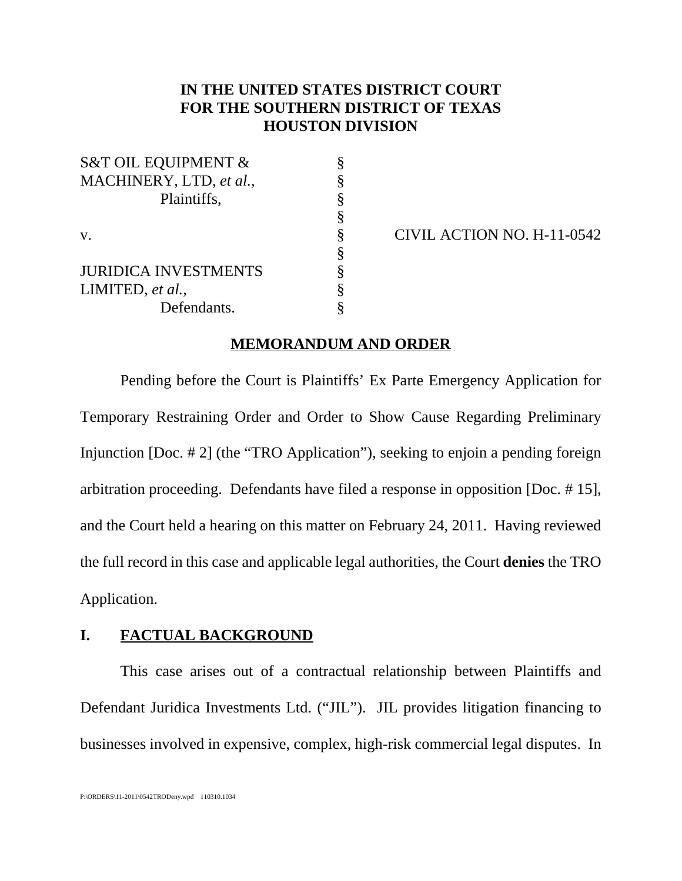# **IN THE UNITED STATES DISTRICT COURT FOR THE SOUTHERN DISTRICT OF TEXAS HOUSTON DIVISION**

| <b>S&amp;T OIL EQUIPMENT &amp;</b> |   |
|------------------------------------|---|
| MACHINERY, LTD, et al.,            |   |
| Plaintiffs,                        | § |
|                                    | § |
| $V_{\rm A}$                        | § |
|                                    |   |
| <b>JURIDICA INVESTMENTS</b>        |   |
| LIMITED, et al.,                   | Ş |
| Defendants.                        |   |

 $\S$  CIVIL ACTION NO. H-11-0542

#### **MEMORANDUM AND ORDER**

Pending before the Court is Plaintiffs' Ex Parte Emergency Application for Temporary Restraining Order and Order to Show Cause Regarding Preliminary Injunction [Doc. # 2] (the "TRO Application"), seeking to enjoin a pending foreign arbitration proceeding. Defendants have filed a response in opposition [Doc. # 15], and the Court held a hearing on this matter on February 24, 2011. Having reviewed the full record in this case and applicable legal authorities, the Court **denies** the TRO Application.

### **I. FACTUAL BACKGROUND**

This case arises out of a contractual relationship between Plaintiffs and Defendant Juridica Investments Ltd. ("JIL"). JIL provides litigation financing to businesses involved in expensive, complex, high-risk commercial legal disputes. In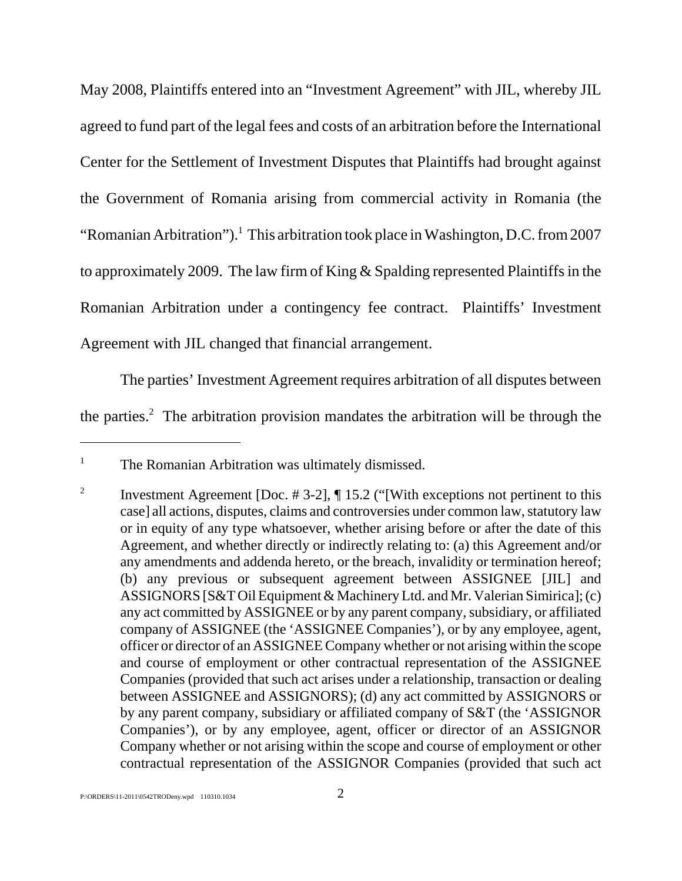May 2008, Plaintiffs entered into an "Investment Agreement" with JIL, whereby JIL agreed to fund part of the legal fees and costs of an arbitration before the International Center for the Settlement of Investment Disputes that Plaintiffs had brought against the Government of Romania arising from commercial activity in Romania (the "Romanian Arbitration").<sup>1</sup> This arbitration took place in Washington, D.C. from 2007 to approximately 2009. The law firm of King & Spalding represented Plaintiffs in the Romanian Arbitration under a contingency fee contract. Plaintiffs' Investment Agreement with JIL changed that financial arrangement.

The parties' Investment Agreement requires arbitration of all disputes between the parties.<sup>2</sup> The arbitration provision mandates the arbitration will be through the

<sup>&</sup>lt;sup>1</sup> The Romanian Arbitration was ultimately dismissed.

<sup>&</sup>lt;sup>2</sup> Investment Agreement [Doc.  $\# 3-2$ ],  $\P 15.2$  ("[With exceptions not pertinent to this case] all actions, disputes, claims and controversies under common law, statutory law or in equity of any type whatsoever, whether arising before or after the date of this Agreement, and whether directly or indirectly relating to: (a) this Agreement and/or any amendments and addenda hereto, or the breach, invalidity or termination hereof; (b) any previous or subsequent agreement between ASSIGNEE [JIL] and ASSIGNORS [S&T Oil Equipment & Machinery Ltd. and Mr. Valerian Simirica]; (c) any act committed by ASSIGNEE or by any parent company, subsidiary, or affiliated company of ASSIGNEE (the 'ASSIGNEE Companies'), or by any employee, agent, officer or director of an ASSIGNEE Company whether or not arising within the scope and course of employment or other contractual representation of the ASSIGNEE Companies (provided that such act arises under a relationship, transaction or dealing between ASSIGNEE and ASSIGNORS); (d) any act committed by ASSIGNORS or by any parent company, subsidiary or affiliated company of S&T (the 'ASSIGNOR Companies'), or by any employee, agent, officer or director of an ASSIGNOR Company whether or not arising within the scope and course of employment or other contractual representation of the ASSIGNOR Companies (provided that such act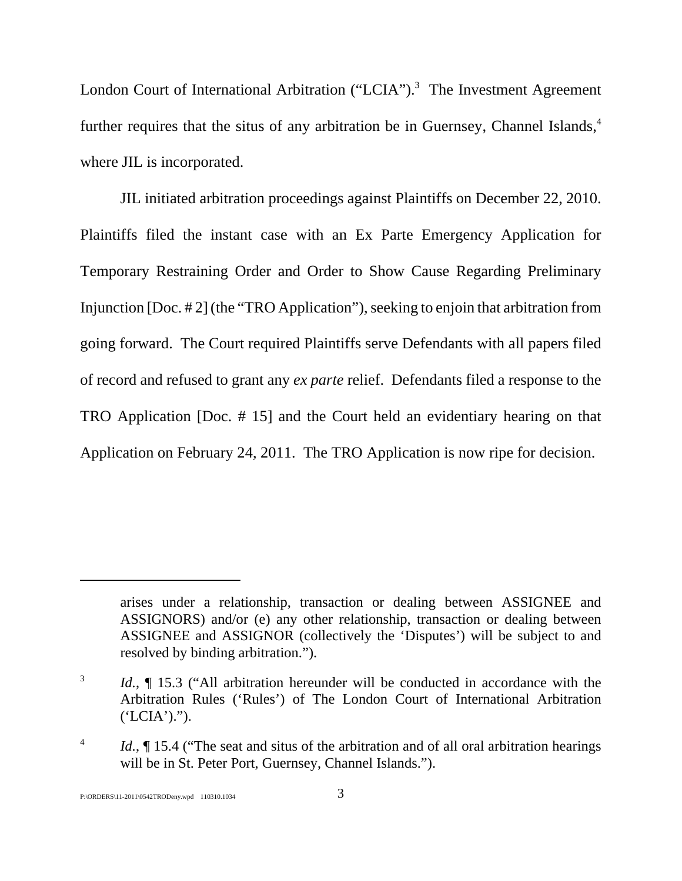London Court of International Arbitration ("LCIA").<sup>3</sup> The Investment Agreement further requires that the situs of any arbitration be in Guernsey, Channel Islands,<sup>4</sup> where JIL is incorporated.

JIL initiated arbitration proceedings against Plaintiffs on December 22, 2010. Plaintiffs filed the instant case with an Ex Parte Emergency Application for Temporary Restraining Order and Order to Show Cause Regarding Preliminary Injunction [Doc. # 2] (the "TRO Application"), seeking to enjoin that arbitration from going forward. The Court required Plaintiffs serve Defendants with all papers filed of record and refused to grant any *ex parte* relief. Defendants filed a response to the TRO Application [Doc. # 15] and the Court held an evidentiary hearing on that Application on February 24, 2011. The TRO Application is now ripe for decision.

arises under a relationship, transaction or dealing between ASSIGNEE and ASSIGNORS) and/or (e) any other relationship, transaction or dealing between ASSIGNEE and ASSIGNOR (collectively the 'Disputes') will be subject to and resolved by binding arbitration.").

<sup>&</sup>lt;sup>3</sup> *Id.*, **[** 15.3 ("All arbitration hereunder will be conducted in accordance with the Arbitration Rules ('Rules') of The London Court of International Arbitration  $(YLCIA')$ .").

<sup>&</sup>lt;sup>4</sup> *Id.*,  $\int$  15.4 ("The seat and situs of the arbitration and of all oral arbitration hearings will be in St. Peter Port, Guernsey, Channel Islands.").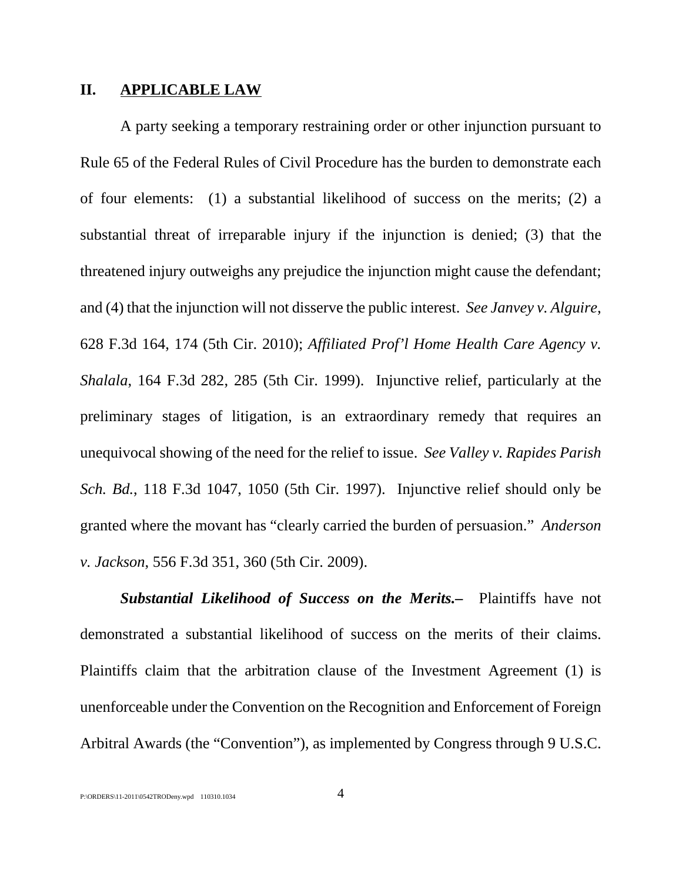#### **II. APPLICABLE LAW**

A party seeking a temporary restraining order or other injunction pursuant to Rule 65 of the Federal Rules of Civil Procedure has the burden to demonstrate each of four elements: (1) a substantial likelihood of success on the merits; (2) a substantial threat of irreparable injury if the injunction is denied; (3) that the threatened injury outweighs any prejudice the injunction might cause the defendant; and (4) that the injunction will not disserve the public interest. *See Janvey v. Alguire*, 628 F.3d 164, 174 (5th Cir. 2010); *Affiliated Prof'l Home Health Care Agency v. Shalala*, 164 F.3d 282, 285 (5th Cir. 1999). Injunctive relief, particularly at the preliminary stages of litigation, is an extraordinary remedy that requires an unequivocal showing of the need for the relief to issue. *See Valley v. Rapides Parish Sch. Bd.*, 118 F.3d 1047, 1050 (5th Cir. 1997). Injunctive relief should only be granted where the movant has "clearly carried the burden of persuasion." *Anderson v. Jackson*, 556 F.3d 351, 360 (5th Cir. 2009).

*Substantial Likelihood of Success on the Merits.–* Plaintiffs have not demonstrated a substantial likelihood of success on the merits of their claims. Plaintiffs claim that the arbitration clause of the Investment Agreement (1) is unenforceable under the Convention on the Recognition and Enforcement of Foreign Arbitral Awards (the "Convention"), as implemented by Congress through 9 U.S.C.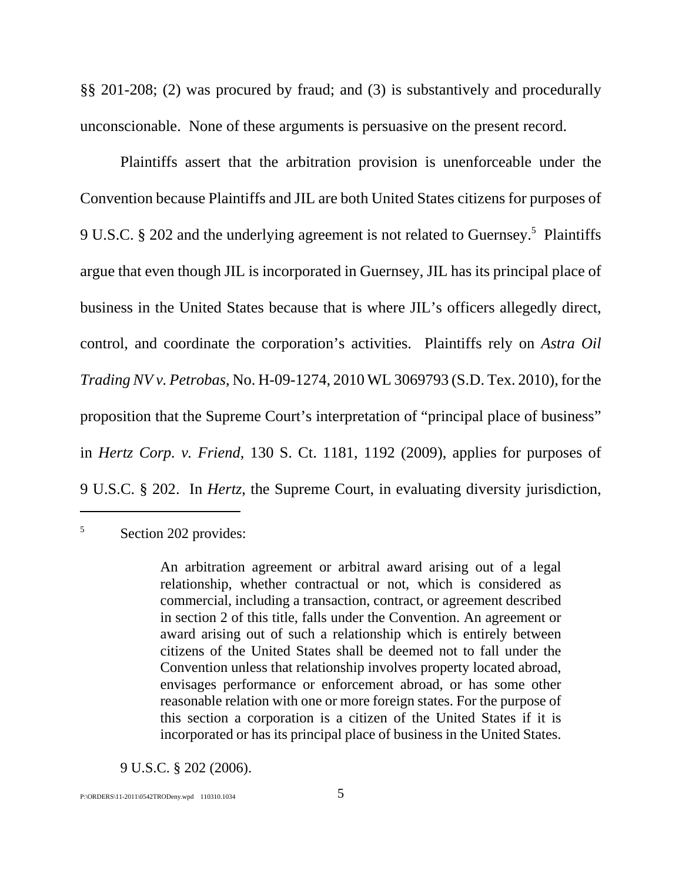§§ 201-208; (2) was procured by fraud; and (3) is substantively and procedurally unconscionable. None of these arguments is persuasive on the present record.

Plaintiffs assert that the arbitration provision is unenforceable under the Convention because Plaintiffs and JIL are both United States citizens for purposes of 9 U.S.C. § 202 and the underlying agreement is not related to Guernsey.<sup>5</sup> Plaintiffs argue that even though JIL is incorporated in Guernsey, JIL has its principal place of business in the United States because that is where JIL's officers allegedly direct, control, and coordinate the corporation's activities. Plaintiffs rely on *Astra Oil Trading NV v. Petrobas*, No. H-09-1274, 2010 WL 3069793 (S.D. Tex. 2010), for the proposition that the Supreme Court's interpretation of "principal place of business" in *Hertz Corp. v. Friend*, 130 S. Ct. 1181, 1192 (2009), applies for purposes of 9 U.S.C. § 202. In *Hertz*, the Supreme Court, in evaluating diversity jurisdiction,

## <sup>5</sup> Section 202 provides:

9 U.S.C. § 202 (2006).

An arbitration agreement or arbitral award arising out of a legal relationship, whether contractual or not, which is considered as commercial, including a transaction, contract, or agreement described in section 2 of this title, falls under the Convention. An agreement or award arising out of such a relationship which is entirely between citizens of the United States shall be deemed not to fall under the Convention unless that relationship involves property located abroad, envisages performance or enforcement abroad, or has some other reasonable relation with one or more foreign states. For the purpose of this section a corporation is a citizen of the United States if it is incorporated or has its principal place of business in the United States.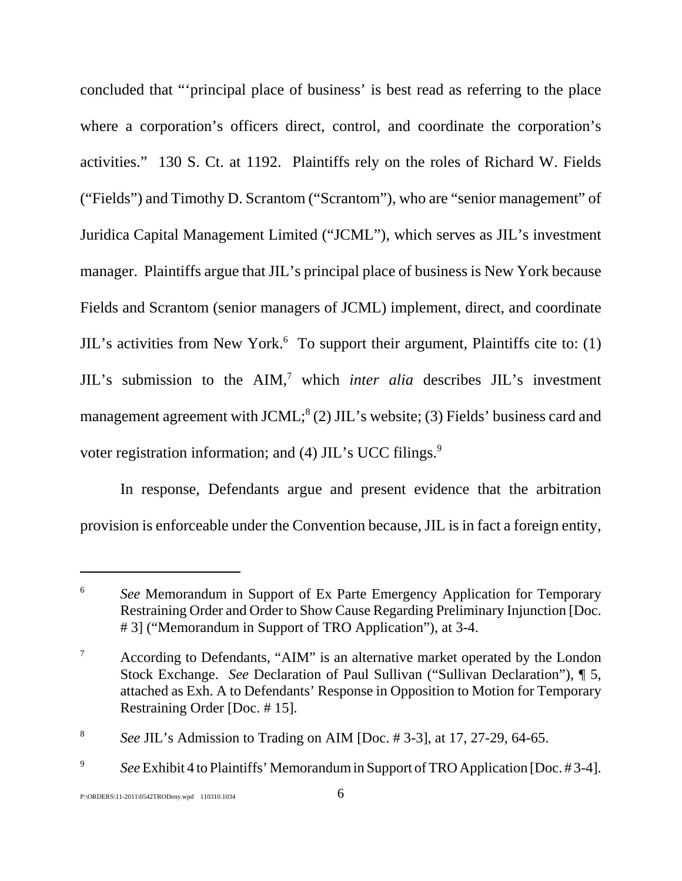concluded that "'principal place of business' is best read as referring to the place where a corporation's officers direct, control, and coordinate the corporation's activities." 130 S. Ct. at 1192. Plaintiffs rely on the roles of Richard W. Fields ("Fields") and Timothy D. Scrantom ("Scrantom"), who are "senior management" of Juridica Capital Management Limited ("JCML"), which serves as JIL's investment manager. Plaintiffs argue that JIL's principal place of business is New York because Fields and Scrantom (senior managers of JCML) implement, direct, and coordinate JIL's activities from New York.<sup>6</sup> To support their argument, Plaintiffs cite to: (1) JIL's submission to the AIM,<sup>7</sup> which *inter alia* describes JIL's investment management agreement with JCML; $^8$  (2) JIL's website; (3) Fields' business card and voter registration information; and  $(4)$  JIL's UCC filings.<sup>9</sup>

In response, Defendants argue and present evidence that the arbitration provision is enforceable under the Convention because, JIL is in fact a foreign entity,

<sup>6</sup> *See* Memorandum in Support of Ex Parte Emergency Application for Temporary Restraining Order and Order to Show Cause Regarding Preliminary Injunction [Doc. # 3] ("Memorandum in Support of TRO Application"), at 3-4.

 $7$  According to Defendants, "AIM" is an alternative market operated by the London Stock Exchange. *See* Declaration of Paul Sullivan ("Sullivan Declaration"), ¶ 5, attached as Exh. A to Defendants' Response in Opposition to Motion for Temporary Restraining Order [Doc. # 15].

<sup>8</sup> *See* JIL's Admission to Trading on AIM [Doc. # 3-3], at 17, 27-29, 64-65.

<sup>9</sup> *See* Exhibit 4 to Plaintiffs' Memorandum in Support of TRO Application [Doc. # 3-4].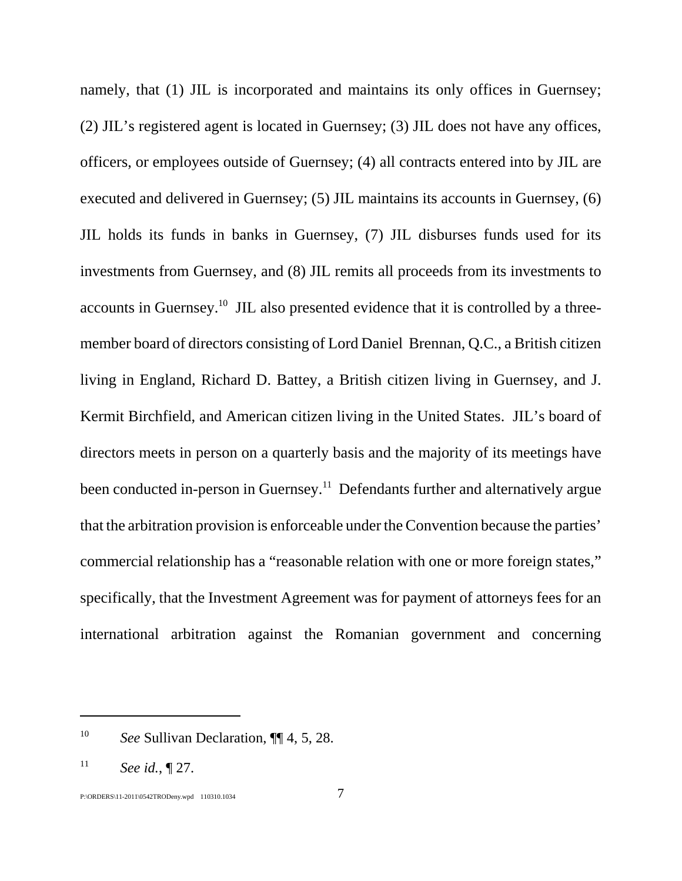namely, that (1) JIL is incorporated and maintains its only offices in Guernsey; (2) JIL's registered agent is located in Guernsey; (3) JIL does not have any offices, officers, or employees outside of Guernsey; (4) all contracts entered into by JIL are executed and delivered in Guernsey; (5) JIL maintains its accounts in Guernsey, (6) JIL holds its funds in banks in Guernsey, (7) JIL disburses funds used for its investments from Guernsey, and (8) JIL remits all proceeds from its investments to accounts in Guernsey.10 JIL also presented evidence that it is controlled by a threemember board of directors consisting of Lord Daniel Brennan, Q.C., a British citizen living in England, Richard D. Battey, a British citizen living in Guernsey, and J. Kermit Birchfield, and American citizen living in the United States. JIL's board of directors meets in person on a quarterly basis and the majority of its meetings have been conducted in-person in Guernsey.<sup>11</sup> Defendants further and alternatively argue that the arbitration provision is enforceable under the Convention because the parties' commercial relationship has a "reasonable relation with one or more foreign states," specifically, that the Investment Agreement was for payment of attorneys fees for an international arbitration against the Romanian government and concerning

<sup>10</sup> *See* Sullivan Declaration, ¶¶ 4, 5, 28.

<sup>11</sup> *See id.*, ¶ 27.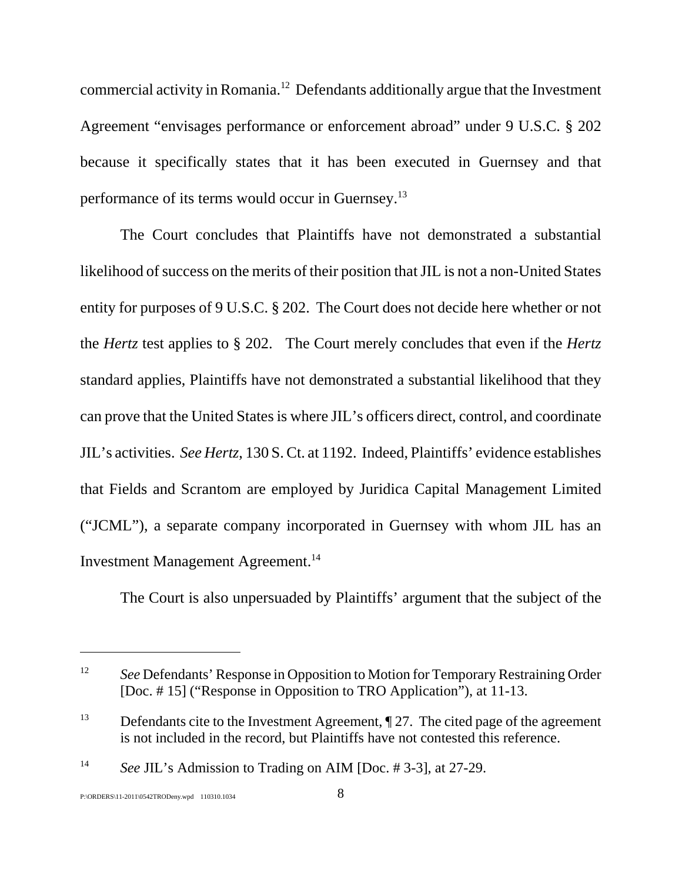commercial activity in Romania.12 Defendants additionally argue that the Investment Agreement "envisages performance or enforcement abroad" under 9 U.S.C. § 202 because it specifically states that it has been executed in Guernsey and that performance of its terms would occur in Guernsey.13

The Court concludes that Plaintiffs have not demonstrated a substantial likelihood of success on the merits of their position that JIL is not a non-United States entity for purposes of 9 U.S.C. § 202. The Court does not decide here whether or not the *Hertz* test applies to § 202. The Court merely concludes that even if the *Hertz* standard applies, Plaintiffs have not demonstrated a substantial likelihood that they can prove that the United States is where JIL's officers direct, control, and coordinate JIL's activities. *See Hertz*, 130 S. Ct. at 1192. Indeed, Plaintiffs' evidence establishes that Fields and Scrantom are employed by Juridica Capital Management Limited ("JCML"), a separate company incorporated in Guernsey with whom JIL has an Investment Management Agreement.<sup>14</sup>

The Court is also unpersuaded by Plaintiffs' argument that the subject of the

<sup>&</sup>lt;sup>12</sup> *See* Defendants' Response in Opposition to Motion for Temporary Restraining Order [Doc. # 15] ("Response in Opposition to TRO Application"), at 11-13.

<sup>&</sup>lt;sup>13</sup> Defendants cite to the Investment Agreement,  $\P$  27. The cited page of the agreement is not included in the record, but Plaintiffs have not contested this reference.

<sup>14</sup> *See* JIL's Admission to Trading on AIM [Doc. # 3-3], at 27-29.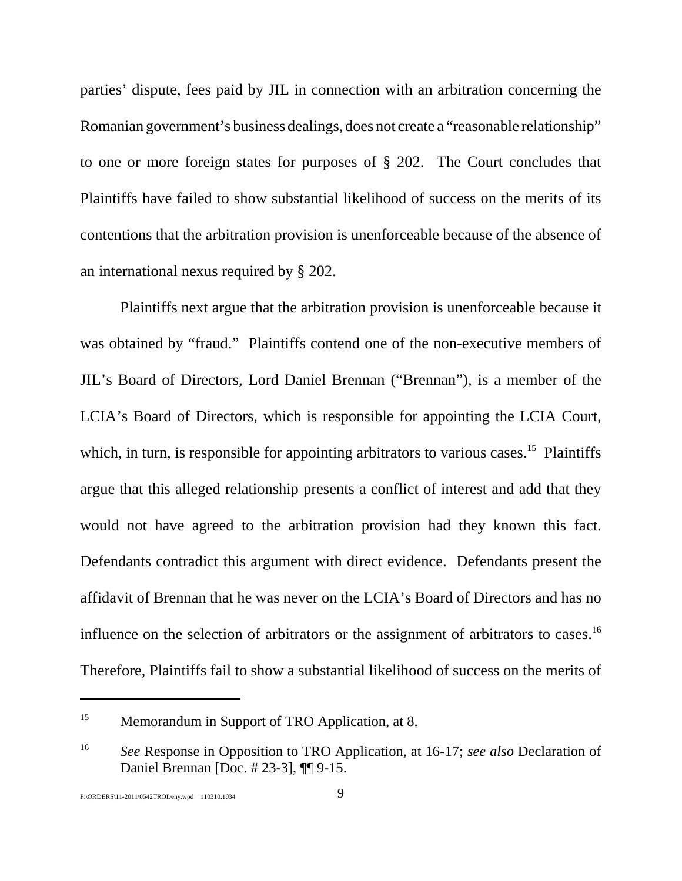parties' dispute, fees paid by JIL in connection with an arbitration concerning the Romanian government's business dealings, does not create a "reasonable relationship" to one or more foreign states for purposes of § 202. The Court concludes that Plaintiffs have failed to show substantial likelihood of success on the merits of its contentions that the arbitration provision is unenforceable because of the absence of an international nexus required by § 202.

Plaintiffs next argue that the arbitration provision is unenforceable because it was obtained by "fraud." Plaintiffs contend one of the non-executive members of JIL's Board of Directors, Lord Daniel Brennan ("Brennan"), is a member of the LCIA's Board of Directors, which is responsible for appointing the LCIA Court, which, in turn, is responsible for appointing arbitrators to various cases.<sup>15</sup> Plaintiffs argue that this alleged relationship presents a conflict of interest and add that they would not have agreed to the arbitration provision had they known this fact. Defendants contradict this argument with direct evidence. Defendants present the affidavit of Brennan that he was never on the LCIA's Board of Directors and has no influence on the selection of arbitrators or the assignment of arbitrators to cases.16 Therefore, Plaintiffs fail to show a substantial likelihood of success on the merits of

<sup>&</sup>lt;sup>15</sup> Memorandum in Support of TRO Application, at 8.

<sup>16</sup> *See* Response in Opposition to TRO Application*,* at 16-17; *see also* Declaration of Daniel Brennan [Doc. # 23-3], ¶¶ 9-15.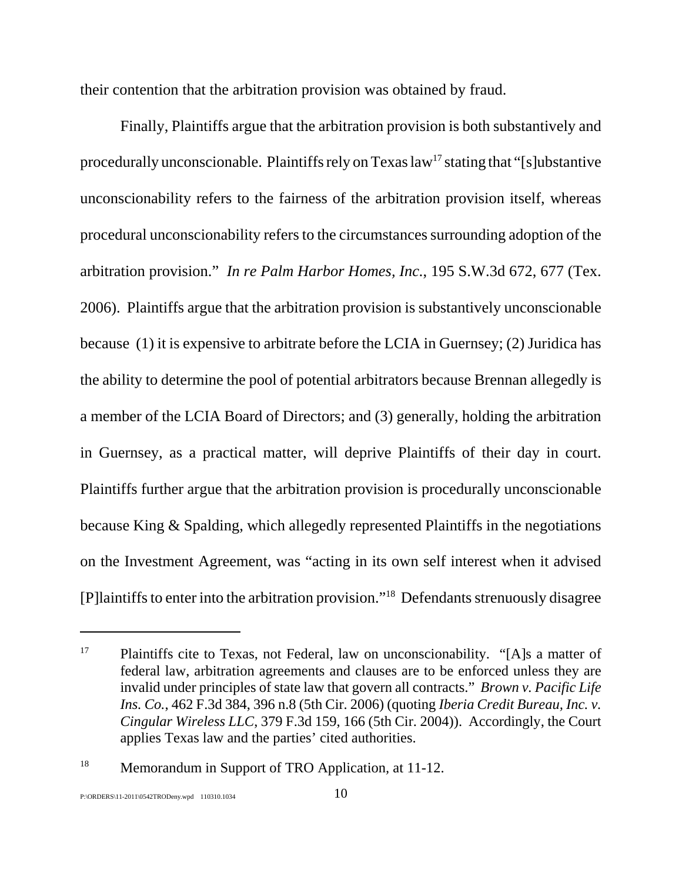their contention that the arbitration provision was obtained by fraud.

Finally, Plaintiffs argue that the arbitration provision is both substantively and procedurally unconscionable. Plaintiffs rely on Texas  $law<sup>17</sup>$  stating that "[s]ubstantive unconscionability refers to the fairness of the arbitration provision itself, whereas procedural unconscionability refers to the circumstances surrounding adoption of the arbitration provision." *In re Palm Harbor Homes, Inc.*, 195 S.W.3d 672, 677 (Tex. 2006). Plaintiffs argue that the arbitration provision is substantively unconscionable because (1) it is expensive to arbitrate before the LCIA in Guernsey; (2) Juridica has the ability to determine the pool of potential arbitrators because Brennan allegedly is a member of the LCIA Board of Directors; and (3) generally, holding the arbitration in Guernsey, as a practical matter, will deprive Plaintiffs of their day in court. Plaintiffs further argue that the arbitration provision is procedurally unconscionable because King & Spalding, which allegedly represented Plaintiffs in the negotiations on the Investment Agreement, was "acting in its own self interest when it advised [P]laintiffs to enter into the arbitration provision."18 Defendants strenuously disagree

<sup>&</sup>lt;sup>17</sup> Plaintiffs cite to Texas, not Federal, law on unconscionability. "[A]s a matter of federal law, arbitration agreements and clauses are to be enforced unless they are invalid under principles of state law that govern all contracts." *Brown v. Pacific Life Ins. Co.*, 462 F.3d 384, 396 n.8 (5th Cir. 2006) (quoting *Iberia Credit Bureau, Inc. v. Cingular Wireless LLC*, 379 F.3d 159, 166 (5th Cir. 2004)). Accordingly, the Court applies Texas law and the parties' cited authorities.

<sup>18</sup> Memorandum in Support of TRO Application*,* at 11-12.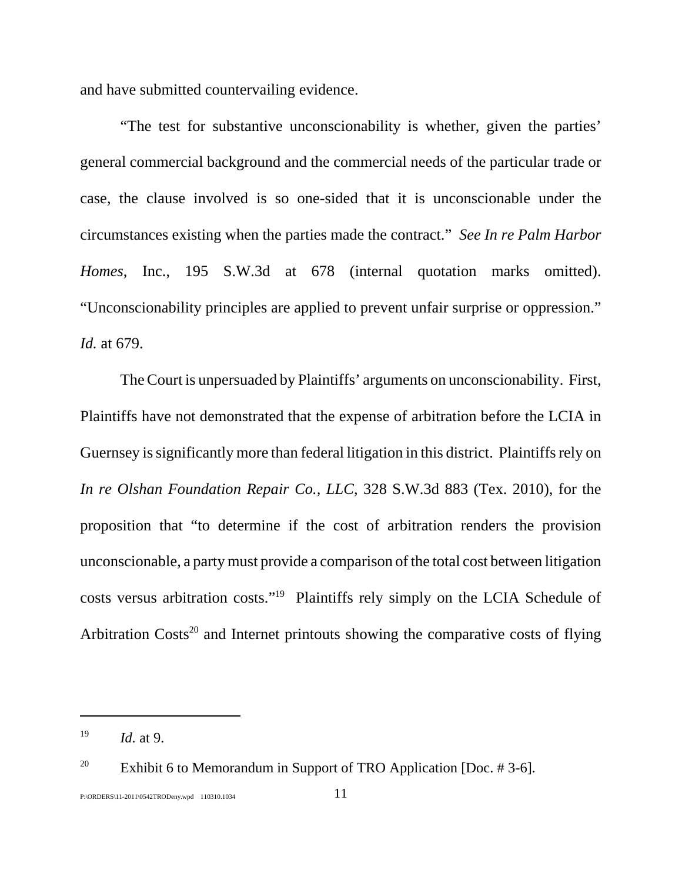and have submitted countervailing evidence.

"The test for substantive unconscionability is whether, given the parties' general commercial background and the commercial needs of the particular trade or case, the clause involved is so one-sided that it is unconscionable under the circumstances existing when the parties made the contract." *See In re Palm Harbor Homes*, Inc., 195 S.W.3d at 678 (internal quotation marks omitted). "Unconscionability principles are applied to prevent unfair surprise or oppression." *Id.* at 679.

The Court is unpersuaded by Plaintiffs' arguments on unconscionability. First, Plaintiffs have not demonstrated that the expense of arbitration before the LCIA in Guernsey is significantly more than federal litigation in this district. Plaintiffs rely on *In re Olshan Foundation Repair Co., LLC*, 328 S.W.3d 883 (Tex. 2010), for the proposition that "to determine if the cost of arbitration renders the provision unconscionable, a party must provide a comparison of the total cost between litigation costs versus arbitration costs."19 Plaintiffs rely simply on the LCIA Schedule of Arbitration Costs<sup>20</sup> and Internet printouts showing the comparative costs of flying

<sup>19</sup> *Id.* at 9.

<sup>&</sup>lt;sup>20</sup> Exhibit 6 to Memorandum in Support of TRO Application [Doc.  $\#$  3-6].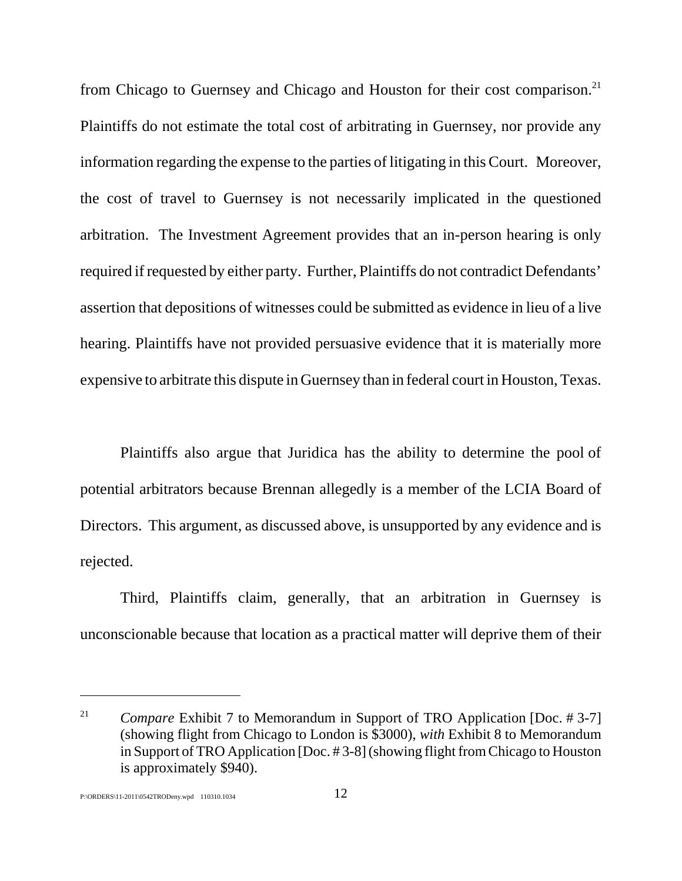from Chicago to Guernsey and Chicago and Houston for their cost comparison.<sup>21</sup> Plaintiffs do not estimate the total cost of arbitrating in Guernsey, nor provide any information regarding the expense to the parties of litigating in this Court. Moreover, the cost of travel to Guernsey is not necessarily implicated in the questioned arbitration. The Investment Agreement provides that an in-person hearing is only required if requested by either party. Further, Plaintiffs do not contradict Defendants' assertion that depositions of witnesses could be submitted as evidence in lieu of a live hearing. Plaintiffs have not provided persuasive evidence that it is materially more expensive to arbitrate this dispute in Guernsey than in federal court in Houston, Texas.

 Plaintiffs also argue that Juridica has the ability to determine the pool of potential arbitrators because Brennan allegedly is a member of the LCIA Board of Directors. This argument, as discussed above, is unsupported by any evidence and is rejected.

Third, Plaintiffs claim, generally, that an arbitration in Guernsey is unconscionable because that location as a practical matter will deprive them of their

<sup>&</sup>lt;sup>21</sup> *Compare Exhibit 7 to Memorandum in Support of TRO Application [Doc. #3-7]* (showing flight from Chicago to London is \$3000), *with* Exhibit 8 to Memorandum in Support of TRO Application [Doc. # 3-8] (showing flight from Chicago to Houston is approximately \$940).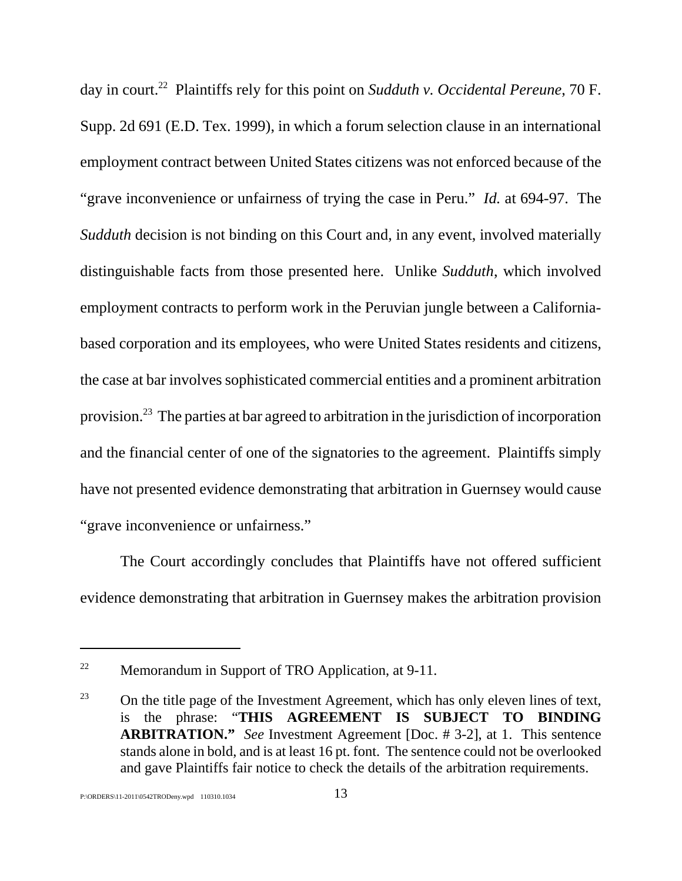day in court.22 Plaintiffs rely for this point on *Sudduth v. Occidental Pereune*, 70 F. Supp. 2d 691 (E.D. Tex. 1999), in which a forum selection clause in an international employment contract between United States citizens was not enforced because of the "grave inconvenience or unfairness of trying the case in Peru." *Id.* at 694-97. The *Sudduth* decision is not binding on this Court and, in any event, involved materially distinguishable facts from those presented here. Unlike *Sudduth*, which involved employment contracts to perform work in the Peruvian jungle between a Californiabased corporation and its employees, who were United States residents and citizens, the case at bar involves sophisticated commercial entities and a prominent arbitration provision.23 The parties at bar agreed to arbitration in the jurisdiction of incorporation and the financial center of one of the signatories to the agreement. Plaintiffs simply have not presented evidence demonstrating that arbitration in Guernsey would cause "grave inconvenience or unfairness."

The Court accordingly concludes that Plaintiffs have not offered sufficient evidence demonstrating that arbitration in Guernsey makes the arbitration provision

<sup>&</sup>lt;sup>22</sup> Memorandum in Support of TRO Application, at  $9-11$ .

 $^{23}$  On the title page of the Investment Agreement, which has only eleven lines of text, is the phrase: "**THIS AGREEMENT IS SUBJECT TO BINDING ARBITRATION."** *See* Investment Agreement [Doc. # 3-2], at 1. This sentence stands alone in bold, and is at least 16 pt. font. The sentence could not be overlooked and gave Plaintiffs fair notice to check the details of the arbitration requirements.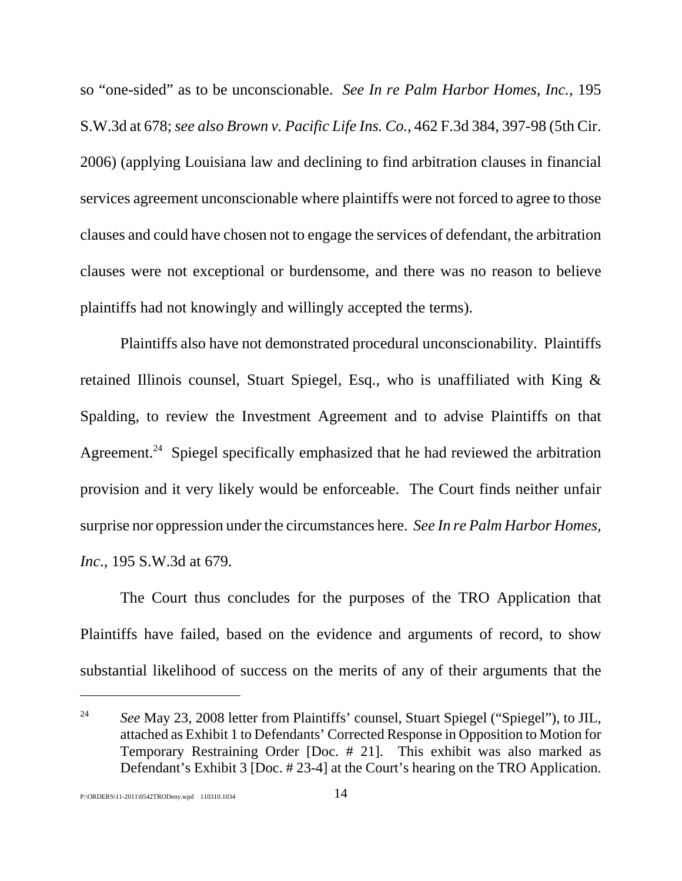so "one-sided" as to be unconscionable. *See In re Palm Harbor Homes, Inc.*, 195 S.W.3d at 678; *see also Brown v. Pacific Life Ins. Co.*, 462 F.3d 384, 397-98 (5th Cir. 2006) (applying Louisiana law and declining to find arbitration clauses in financial services agreement unconscionable where plaintiffs were not forced to agree to those clauses and could have chosen not to engage the services of defendant, the arbitration clauses were not exceptional or burdensome, and there was no reason to believe plaintiffs had not knowingly and willingly accepted the terms).

Plaintiffs also have not demonstrated procedural unconscionability. Plaintiffs retained Illinois counsel, Stuart Spiegel, Esq., who is unaffiliated with King & Spalding, to review the Investment Agreement and to advise Plaintiffs on that Agreement.<sup>24</sup> Spiegel specifically emphasized that he had reviewed the arbitration provision and it very likely would be enforceable. The Court finds neither unfair surprise nor oppression under the circumstances here. *See In re Palm Harbor Homes, Inc*., 195 S.W.3d at 679.

The Court thus concludes for the purposes of the TRO Application that Plaintiffs have failed, based on the evidence and arguments of record, to show substantial likelihood of success on the merits of any of their arguments that the

<sup>24</sup> *See* May 23, 2008 letter from Plaintiffs' counsel, Stuart Spiegel ("Spiegel"), to JIL, attached as Exhibit 1 to Defendants' Corrected Response in Opposition to Motion for Temporary Restraining Order [Doc. # 21]. This exhibit was also marked as Defendant's Exhibit 3 [Doc. # 23-4] at the Court's hearing on the TRO Application.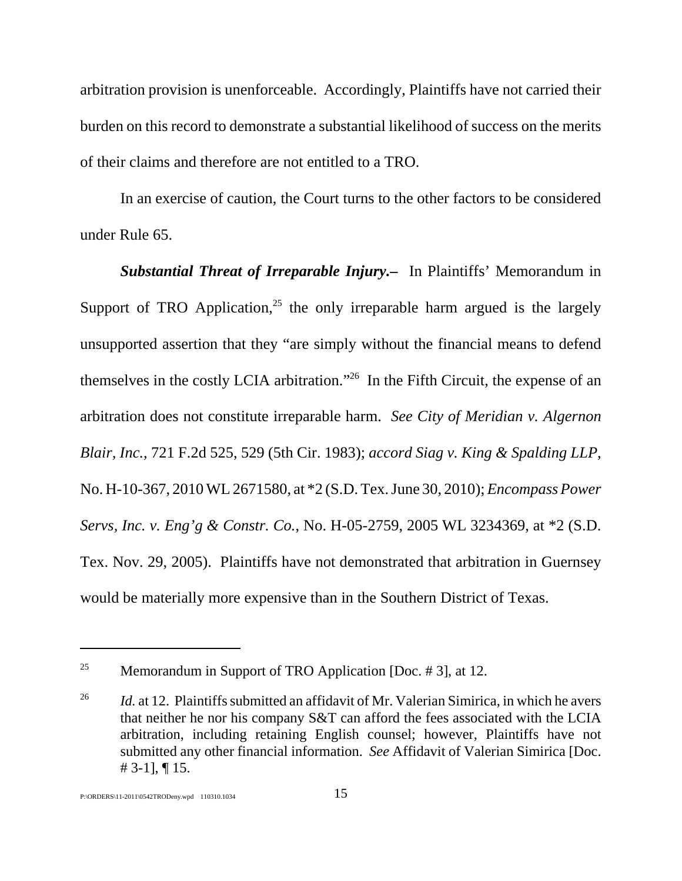arbitration provision is unenforceable. Accordingly, Plaintiffs have not carried their burden on this record to demonstrate a substantial likelihood of success on the merits of their claims and therefore are not entitled to a TRO.

In an exercise of caution, the Court turns to the other factors to be considered under Rule 65.

*Substantial Threat of Irreparable Injury.–* In Plaintiffs' Memorandum in Support of TRO Application,<sup>25</sup> the only irreparable harm argued is the largely unsupported assertion that they "are simply without the financial means to defend themselves in the costly LCIA arbitration."26 In the Fifth Circuit, the expense of an arbitration does not constitute irreparable harm. *See City of Meridian v. Algernon Blair, Inc.*, 721 F.2d 525, 529 (5th Cir. 1983); *accord Siag v. King & Spalding LLP*, No. H-10-367, 2010 WL 2671580, at \*2 (S.D. Tex. June 30, 2010); *Encompass Power Servs, Inc. v. Eng'g & Constr. Co.*, No. H-05-2759, 2005 WL 3234369, at \*2 (S.D. Tex. Nov. 29, 2005). Plaintiffs have not demonstrated that arbitration in Guernsey would be materially more expensive than in the Southern District of Texas.

<sup>&</sup>lt;sup>25</sup> Memorandum in Support of TRO Application [Doc.  $\#$  3], at 12.

<sup>&</sup>lt;sup>26</sup> *Id.* at 12. Plaintiffs submitted an affidavit of Mr. Valerian Simirica, in which he avers that neither he nor his company S&T can afford the fees associated with the LCIA arbitration, including retaining English counsel; however, Plaintiffs have not submitted any other financial information. *See* Affidavit of Valerian Simirica [Doc.  $\# 3-1$ , 15.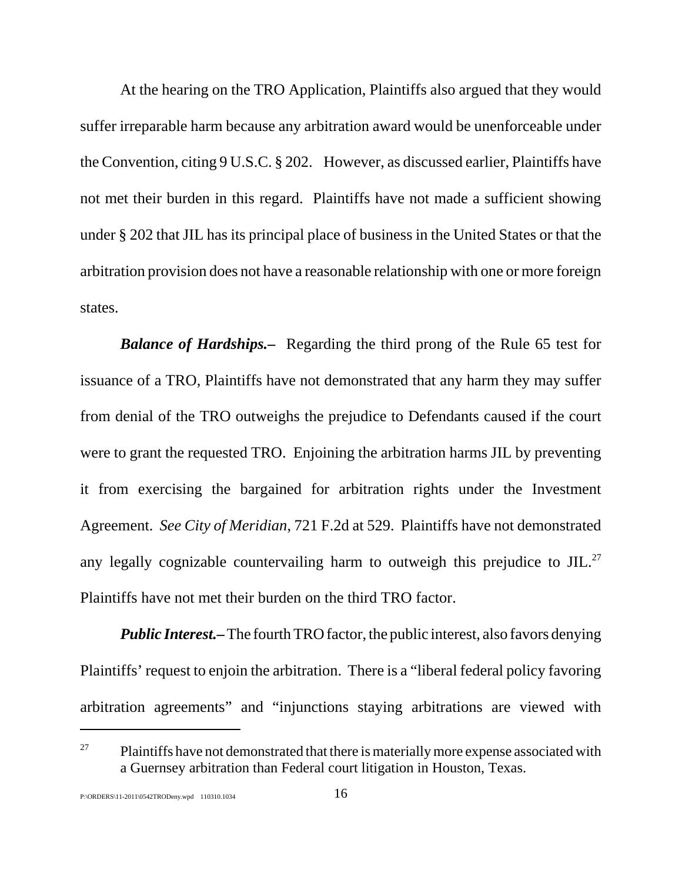At the hearing on the TRO Application, Plaintiffs also argued that they would suffer irreparable harm because any arbitration award would be unenforceable under the Convention, citing 9 U.S.C. § 202. However, as discussed earlier, Plaintiffs have not met their burden in this regard. Plaintiffs have not made a sufficient showing under § 202 that JIL has its principal place of business in the United States or that the arbitration provision does not have a reasonable relationship with one or more foreign states.

*Balance of Hardships.–* Regarding the third prong of the Rule 65 test for issuance of a TRO, Plaintiffs have not demonstrated that any harm they may suffer from denial of the TRO outweighs the prejudice to Defendants caused if the court were to grant the requested TRO. Enjoining the arbitration harms JIL by preventing it from exercising the bargained for arbitration rights under the Investment Agreement. *See City of Meridian*, 721 F.2d at 529. Plaintiffs have not demonstrated any legally cognizable countervailing harm to outweigh this prejudice to  $JIL$ <sup>27</sup> Plaintiffs have not met their burden on the third TRO factor.

*Public Interest.–* The fourth TRO factor, the public interest, also favors denying Plaintiffs' request to enjoin the arbitration. There is a "liberal federal policy favoring arbitration agreements" and "injunctions staying arbitrations are viewed with

 $27$  Plaintiffs have not demonstrated that there is materially more expense associated with a Guernsey arbitration than Federal court litigation in Houston, Texas.